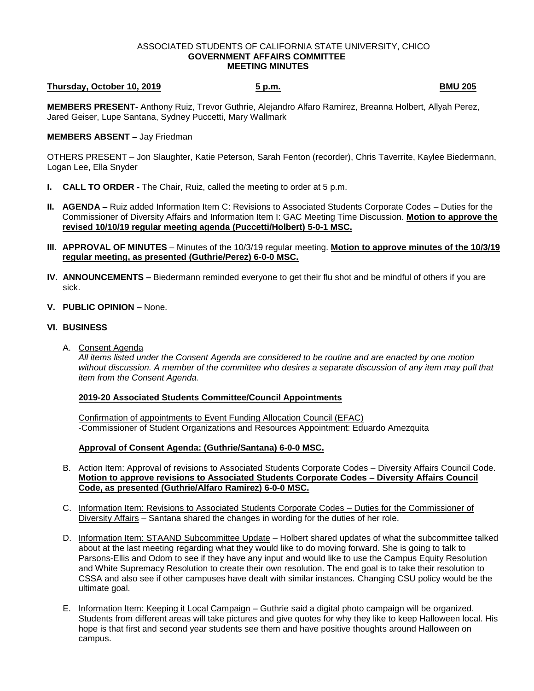#### ASSOCIATED STUDENTS OF CALIFORNIA STATE UNIVERSITY, CHICO **GOVERNMENT AFFAIRS COMMITTEE MEETING MINUTES**

# **Thursday, October 10, 2019 5 p.m. BMU 205**

**MEMBERS PRESENT-** Anthony Ruiz, Trevor Guthrie, Alejandro Alfaro Ramirez, Breanna Holbert, Allyah Perez, Jared Geiser, Lupe Santana, Sydney Puccetti, Mary Wallmark

## **MEMBERS ABSENT –** Jay Friedman

OTHERS PRESENT – Jon Slaughter, Katie Peterson, Sarah Fenton (recorder), Chris Taverrite, Kaylee Biedermann, Logan Lee, Ella Snyder

- **I. CALL TO ORDER -** The Chair, Ruiz, called the meeting to order at 5 p.m.
- **II. AGENDA –** Ruiz added Information Item C: Revisions to Associated Students Corporate Codes Duties for the Commissioner of Diversity Affairs and Information Item I: GAC Meeting Time Discussion. **Motion to approve the revised 10/10/19 regular meeting agenda (Puccetti/Holbert) 5-0-1 MSC.**
- **III. APPROVAL OF MINUTES** Minutes of the 10/3/19 regular meeting. **Motion to approve minutes of the 10/3/19 regular meeting, as presented (Guthrie/Perez) 6-0-0 MSC.**
- **IV. ANNOUNCEMENTS –** Biedermann reminded everyone to get their flu shot and be mindful of others if you are sick.
- **V. PUBLIC OPINION –** None.

### **VI. BUSINESS**

A. Consent Agenda

*All items listed under the Consent Agenda are considered to be routine and are enacted by one motion without discussion. A member of the committee who desires a separate discussion of any item may pull that item from the Consent Agenda.* 

### **2019-20 Associated Students Committee/Council Appointments**

Confirmation of appointments to Event Funding Allocation Council (EFAC) -Commissioner of Student Organizations and Resources Appointment: Eduardo Amezquita

### **Approval of Consent Agenda: (Guthrie/Santana) 6-0-0 MSC.**

- B. Action Item: Approval of revisions to Associated Students Corporate Codes Diversity Affairs Council Code. **Motion to approve revisions to Associated Students Corporate Codes – Diversity Affairs Council Code, as presented (Guthrie/Alfaro Ramirez) 6-0-0 MSC.**
- C. Information Item: Revisions to Associated Students Corporate Codes Duties for the Commissioner of Diversity Affairs – Santana shared the changes in wording for the duties of her role.
- D. Information Item: STAAND Subcommittee Update Holbert shared updates of what the subcommittee talked about at the last meeting regarding what they would like to do moving forward. She is going to talk to Parsons-Ellis and Odom to see if they have any input and would like to use the Campus Equity Resolution and White Supremacy Resolution to create their own resolution. The end goal is to take their resolution to CSSA and also see if other campuses have dealt with similar instances. Changing CSU policy would be the ultimate goal.
- E. Information Item: Keeping it Local Campaign Guthrie said a digital photo campaign will be organized. Students from different areas will take pictures and give quotes for why they like to keep Halloween local. His hope is that first and second year students see them and have positive thoughts around Halloween on campus.